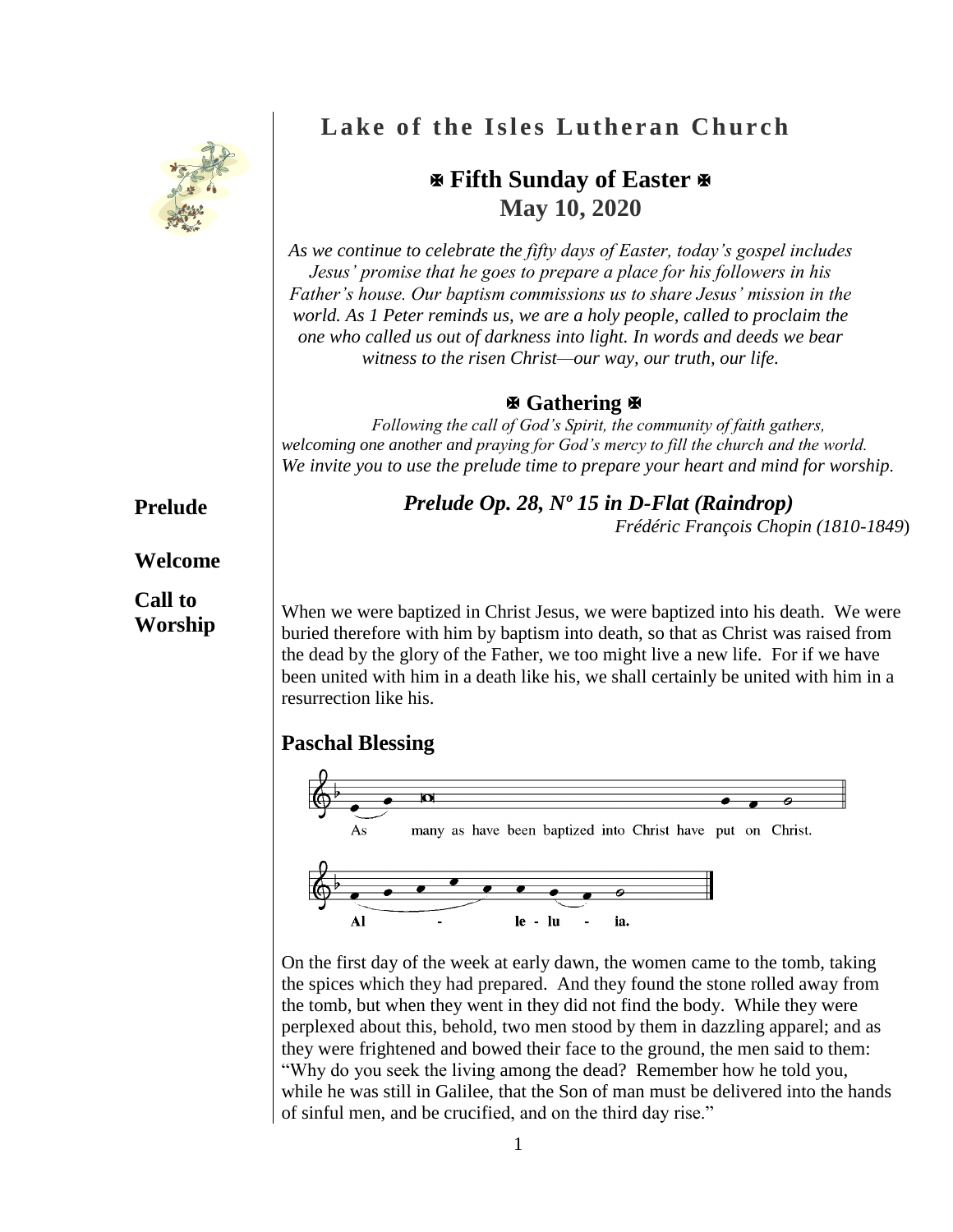

# **Lake of the Isles Lutheran Church**

# **Fifth Sunday of Easter May 10, 2020**

*As we continue to celebrate the fifty days of Easter, today's gospel includes Jesus' promise that he goes to prepare a place for his followers in his Father's house. Our baptism commissions us to share Jesus' mission in the world. As 1 Peter reminds us, we are a holy people, called to proclaim the one who called us out of darkness into light. In words and deeds we bear witness to the risen Christ—our way, our truth, our life.*

## **Gathering**

*Following the call of God's Spirit, the community of faith gathers, welcoming one another and praying for God's mercy to fill the church and the world. We invite you to use the prelude time to prepare your heart and mind for worship.*

## *Prelude Op. 28, Nº 15 in D-Flat (Raindrop)*

*Frédéric François Chopin (1810-1849*)

When we were baptized in Christ Jesus, we were baptized into his death. We were buried therefore with him by baptism into death, so that as Christ was raised from the dead by the glory of the Father, we too might live a new life. For if we have been united with him in a death like his, we shall certainly be united with him in a resurrection like his.

# **Paschal Blessing**



On the first day of the week at early dawn, the women came to the tomb, taking the spices which they had prepared. And they found the stone rolled away from the tomb, but when they went in they did not find the body. While they were perplexed about this, behold, two men stood by them in dazzling apparel; and as they were frightened and bowed their face to the ground, the men said to them: "Why do you seek the living among the dead? Remember how he told you, while he was still in Galilee, that the Son of man must be delivered into the hands of sinful men, and be crucified, and on the third day rise."

# **Prelude**

## **Welcome**

## **Call to Worship**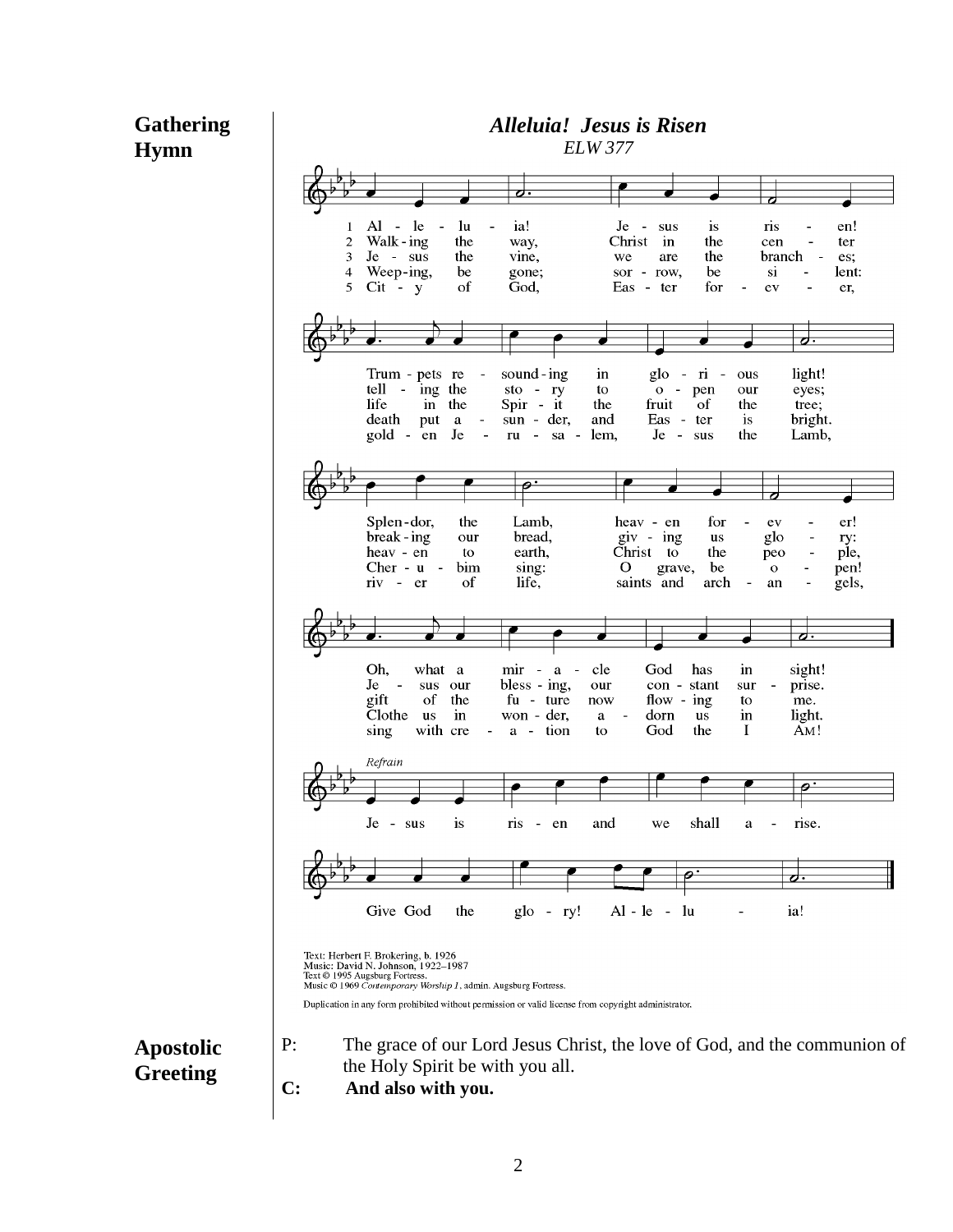## **Gathering Hymn**



*Alleluia! Jesus is Risen*

## **Apostolic Greeting**

- the Holy Spirit be with you all.
- **C: And also with you.**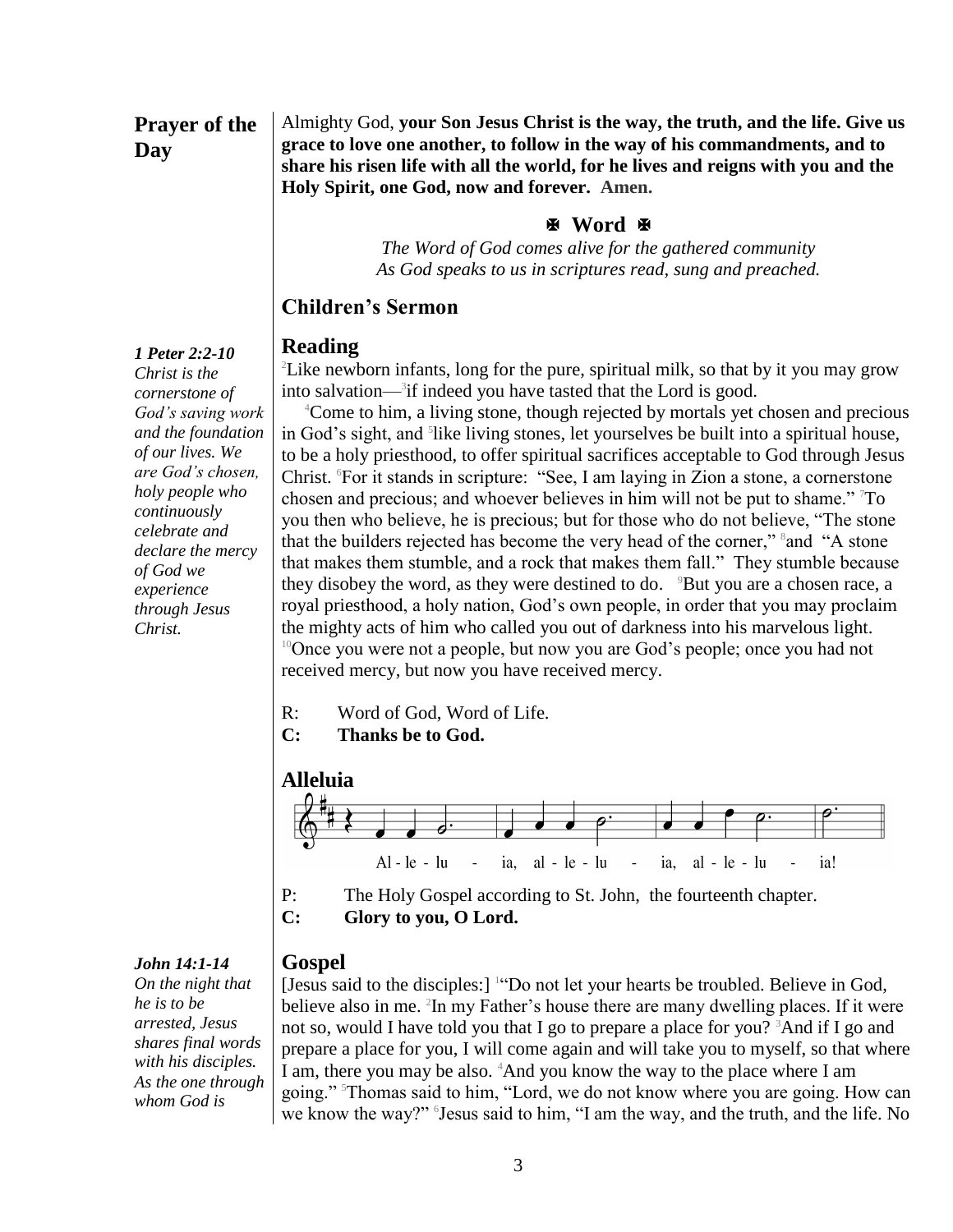## **Prayer of the Day**

Almighty God, **your Son Jesus Christ is the way, the truth, and the life. Give us grace to love one another, to follow in the way of his commandments, and to share his risen life with all the world, for he lives and reigns with you and the Holy Spirit, one God, now and forever. Amen.**

#### **Word**

*The Word of God comes alive for the gathered community As God speaks to us in scriptures read, sung and preached.*

#### **Children's Sermon**

#### **Reading**

<sup>2</sup>Like newborn infants, long for the pure, spiritual milk, so that by it you may grow into salvation—<sup>3</sup> if indeed you have tasted that the Lord is good.

<sup>4</sup>Come to him, a living stone, though rejected by mortals yet chosen and precious in God's sight, and <sup>5</sup>like living stones, let yourselves be built into a spiritual house, to be a holy priesthood, to offer spiritual sacrifices acceptable to God through Jesus Christ. <sup>6</sup>For it stands in scripture: "See, I am laying in Zion a stone, a cornerstone chosen and precious; and whoever believes in him will not be put to shame." <sup>7</sup>To you then who believe, he is precious; but for those who do not believe, "The stone that the builders rejected has become the very head of the corner," sand "A stone that makes them stumble, and a rock that makes them fall." They stumble because they disobey the word, as they were destined to do.  $9But$  you are a chosen race, a royal priesthood, a holy nation, God's own people, in order that you may proclaim the mighty acts of him who called you out of darkness into his marvelous light. <sup>10</sup>Once you were not a people, but now you are God's people; once you had not received mercy, but now you have received mercy.

- R: Word of God, Word of Life.
- **C: Thanks be to God.**





- P: The Holy Gospel according to St. John, the fourteenth chapter.
- **C: Glory to you, O Lord.**

## **Gospel**

[Jesus said to the disciples:] <sup>1</sup> "Do not let your hearts be troubled. Believe in God, believe also in me. <sup>2</sup>In my Father's house there are many dwelling places. If it were not so, would I have told you that I go to prepare a place for you? <sup>3</sup>And if I go and prepare a place for you, I will come again and will take you to myself, so that where I am, there you may be also. <sup>4</sup>And you know the way to the place where I am going." <sup>5</sup>Thomas said to him, "Lord, we do not know where you are going. How can we know the way?" <sup>5</sup> Jesus said to him, "I am the way, and the truth, and the life. No

*1 Peter 2:2-10 Christ is the cornerstone of God's saving work and the foundation of our lives. We are God's chosen, holy people who continuously celebrate and declare the mercy of God we experience through Jesus Christ.*

#### *John 14:1-14*

*On the night that he is to be arrested, Jesus shares final words with his disciples. As the one through whom God is*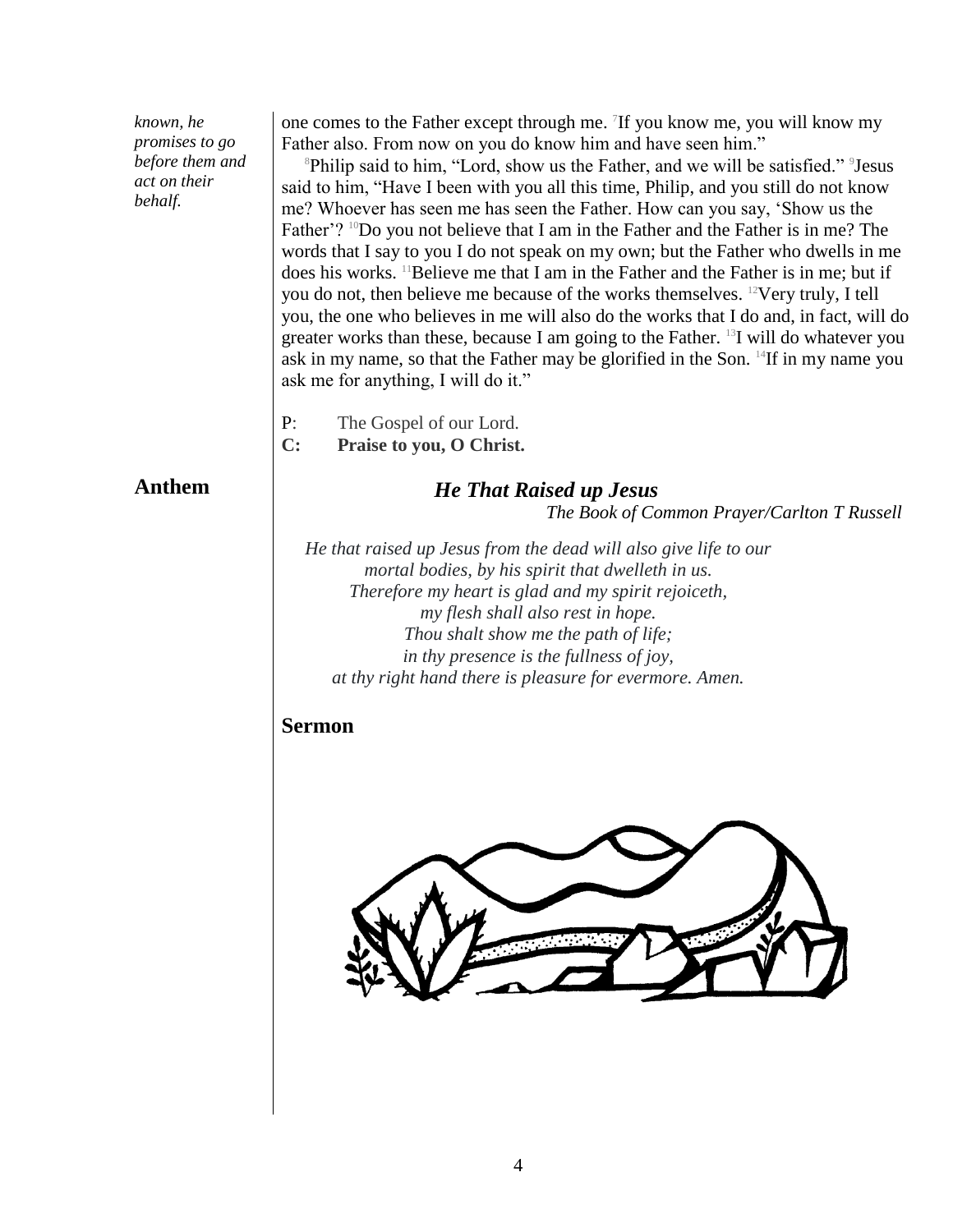*known, he promises to go before them and act on their behalf.*

one comes to the Father except through me. <sup>7</sup>If you know me, you will know my Father also. From now on you do know him and have seen him."

<sup>8</sup>Philip said to him, "Lord, show us the Father, and we will be satisfied." <sup>9</sup> Jesus said to him, "Have I been with you all this time, Philip, and you still do not know me? Whoever has seen me has seen the Father. How can you say, 'Show us the Father'? <sup>10</sup>Do you not believe that I am in the Father and the Father is in me? The words that I say to you I do not speak on my own; but the Father who dwells in me does his works. <sup>11</sup>Believe me that I am in the Father and the Father is in me; but if you do not, then believe me because of the works themselves. <sup>12</sup>Very truly, I tell you, the one who believes in me will also do the works that I do and, in fact, will do greater works than these, because I am going to the Father. <sup>13</sup>I will do whatever you ask in my name, so that the Father may be glorified in the Son. <sup>14</sup>If in my name you ask me for anything, I will do it."

P: The Gospel of our Lord.

**C: Praise to you, O Christ.**

## **Anthem**

*He That Raised up Jesus The Book of Common Prayer/Carlton T Russell*

*He that raised up Jesus from the dead will also give life to our mortal bodies, by his spirit that dwelleth in us. Therefore my heart is glad and my spirit rejoiceth, my flesh shall also rest in hope. Thou shalt show me the path of life; in thy presence is the fullness of joy, at thy right hand there is pleasure for evermore. Amen.*

## **Sermon**

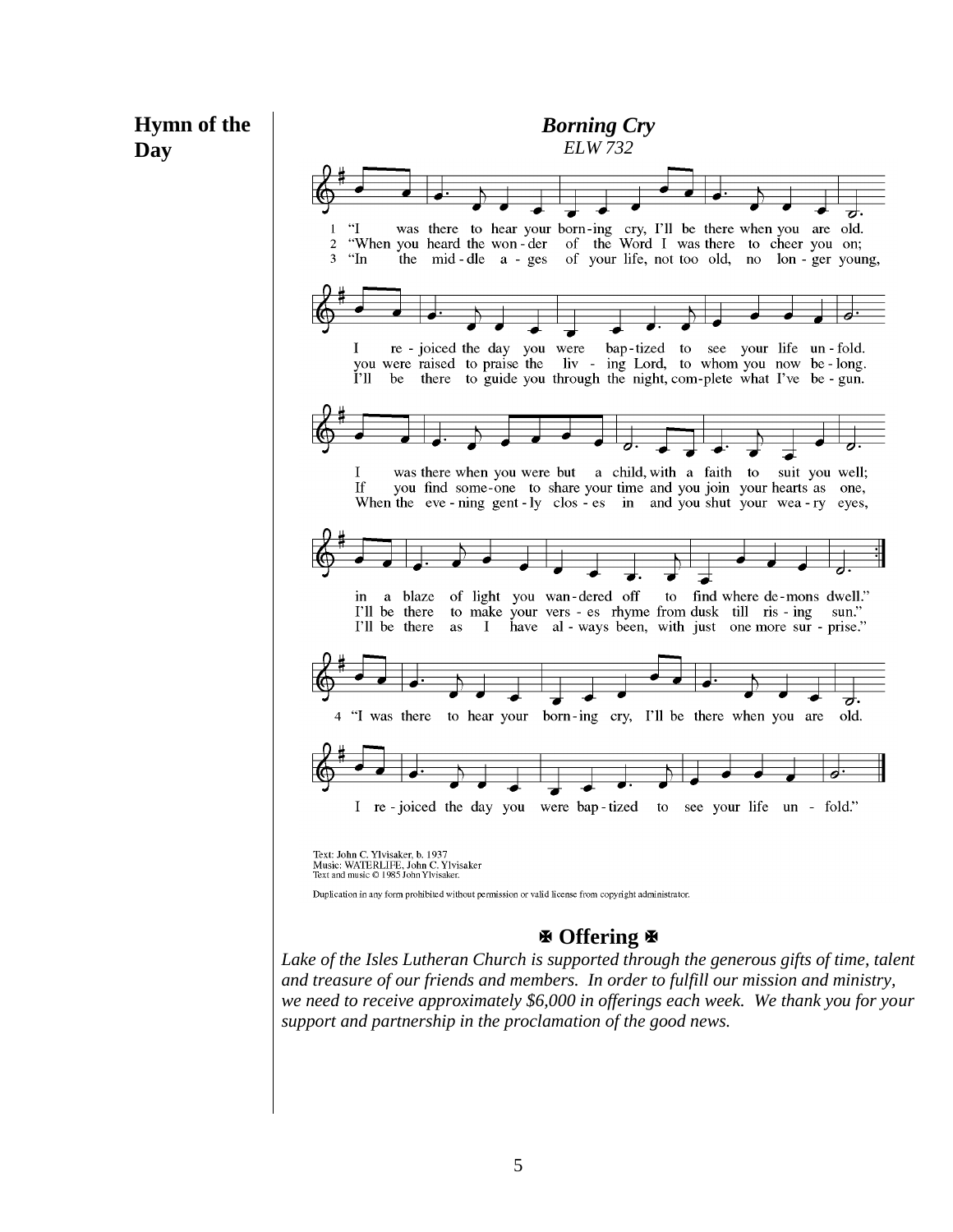

*and treasure of our friends and members. In order to fulfill our mission and ministry, we need to receive approximately \$6,000 in offerings each week. We thank you for your support and partnership in the proclamation of the good news.*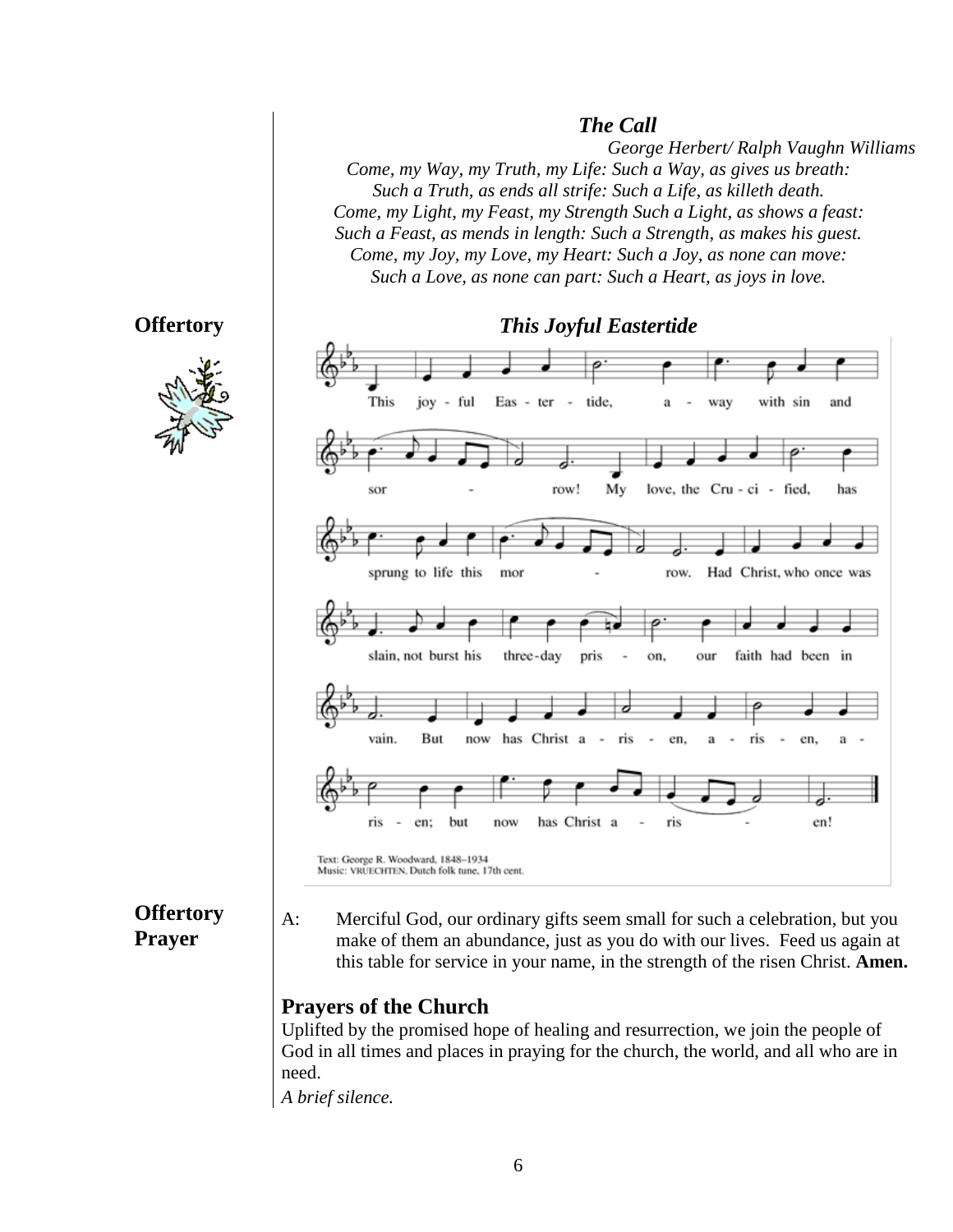#### *The Call*

*George Herbert/ Ralph Vaughn Williams Come, my Way, my Truth, my Life: Such a Way, as gives us breath: Such a Truth, as ends all strife: Such a Life, as killeth death. Come, my Light, my Feast, my Strength Such a Light, as shows a feast: Such a Feast, as mends in length: Such a Strength, as makes his guest. Come, my Joy, my Love, my Heart: Such a Joy, as none can move: Such a Love, as none can part: Such a Heart, as joys in love.*

#### **Offertory**





**Offertory Prayer**

A: Merciful God, our ordinary gifts seem small for such a celebration, but you make of them an abundance, just as you do with our lives. Feed us again at this table for service in your name, in the strength of the risen Christ. **Amen.**

#### **Prayers of the Church**

Uplifted by the promised hope of healing and resurrection, we join the people of God in all times and places in praying for the church, the world, and all who are in need.

*A brief silence.*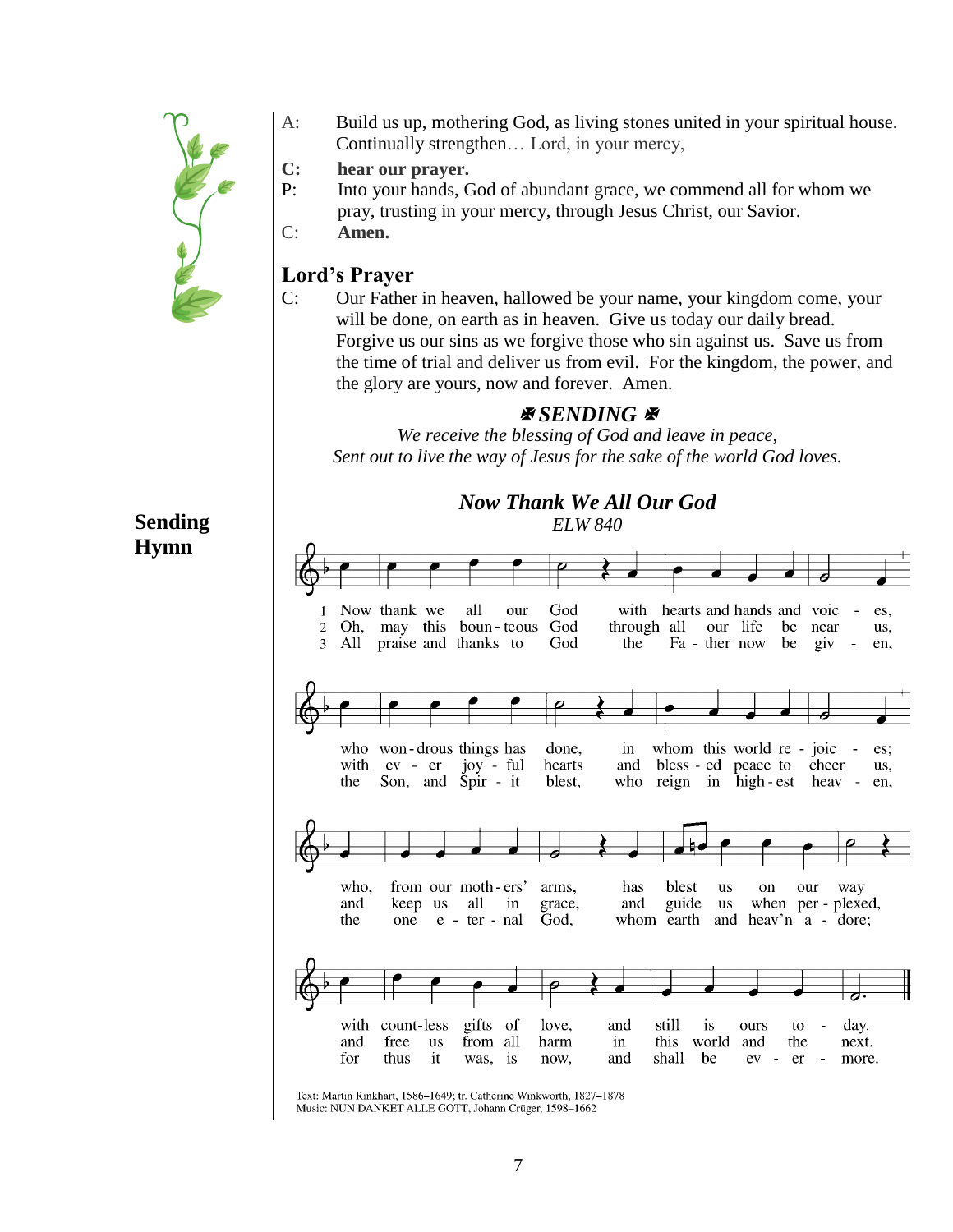

- A: Build us up, mothering God, as living stones united in your spiritual house. Continually strengthen… Lord, in your mercy,
- **C: hear our prayer.**

P: Into your hands, God of abundant grace, we commend all for whom we pray, trusting in your mercy, through Jesus Christ, our Savior.

C: **Amen.**

#### **Lord's Prayer**

C: Our Father in heaven, hallowed be your name, your kingdom come, your will be done, on earth as in heaven. Give us today our daily bread. Forgive us our sins as we forgive those who sin against us. Save us from the time of trial and deliver us from evil. For the kingdom, the power, and the glory are yours, now and forever. Amen.

## *ASENDING*

*We receive the blessing of God and leave in peace, Sent out to live the way of Jesus for the sake of the world God loves.*

> *Now Thank We All Our God ELW 840*

## **Sending Hymn**



Text: Martin Rinkhart, 1586-1649; tr. Catherine Winkworth, 1827-1878 Music: NUN DANKET ALLE GOTT, Johann Crüger, 1598-1662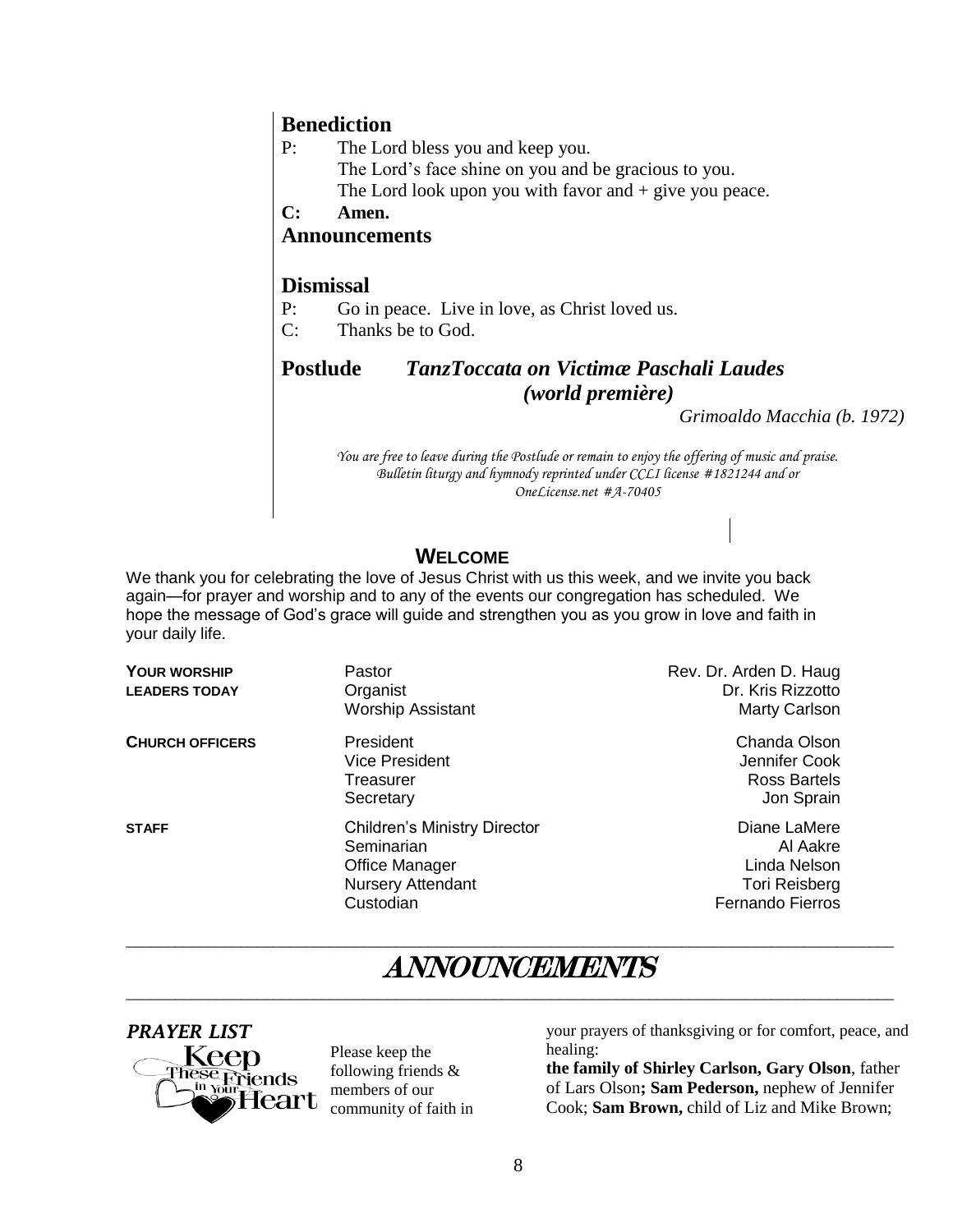#### **Benediction**

- P: The Lord bless you and keep you. The Lord's face shine on you and be gracious to you. The Lord look upon you with favor and  $+$  give you peace.
- **C: Amen.**

#### **Announcements**

#### **Dismissal**

- P: Go in peace. Live in love, as Christ loved us.
- C: Thanks be to God.

#### **Postlude** *TanzToccata on Victimæ Paschali Laudes (world première)*

*Grimoaldo Macchia (b. 1972)*

*You are free to leave during the Postlude or remain to enjoy the offering of music and praise. Bulletin liturgy and hymnody reprinted under CCLI license #1821244 and or OneLicense.net #A-70405*

## **WELCOME**

We thank you for celebrating the love of Jesus Christ with us this week, and we invite you back again—for prayer and worship and to any of the events our congregation has scheduled. We hope the message of God's grace will guide and strengthen you as you grow in love and faith in your daily life.

| <b>YOUR WORSHIP</b><br><b>LEADERS TODAY</b> | Pastor<br>Organist<br><b>Worship Assistant</b>                                                                      | Rev. Dr. Arden D. Haug<br>Dr. Kris Rizzotto<br>Marty Carlson                                |
|---------------------------------------------|---------------------------------------------------------------------------------------------------------------------|---------------------------------------------------------------------------------------------|
| <b>CHURCH OFFICERS</b>                      | President<br><b>Vice President</b><br>Treasurer<br>Secretary                                                        | Chanda Olson<br>Jennifer Cook<br>Ross Bartels<br>Jon Sprain                                 |
| <b>STAFF</b>                                | <b>Children's Ministry Director</b><br>Seminarian<br><b>Office Manager</b><br><b>Nursery Attendant</b><br>Custodian | Diane LaMere<br>Al Aakre<br>Linda Nelson<br><b>Tori Reisberg</b><br><b>Fernando Fierros</b> |

# ANNOUNCEMENTS

 $\overline{\phantom{a}}$  , and the contribution of the contribution of the contribution of the contribution of the contribution of the contribution of the contribution of the contribution of the contribution of the contribution of the

 $\overline{\phantom{a}}$  , and the contribution of the contribution of the contribution of the contribution of the contribution of the contribution of the contribution of the contribution of the contribution of the contribution of the



Please keep the following friends & members of our community of faith in your prayers of thanksgiving or for comfort, peace, and healing:

**the family of Shirley Carlson, Gary Olson**, father of Lars Olson**; Sam Pederson,** nephew of Jennifer Cook; **Sam Brown,** child of Liz and Mike Brown;